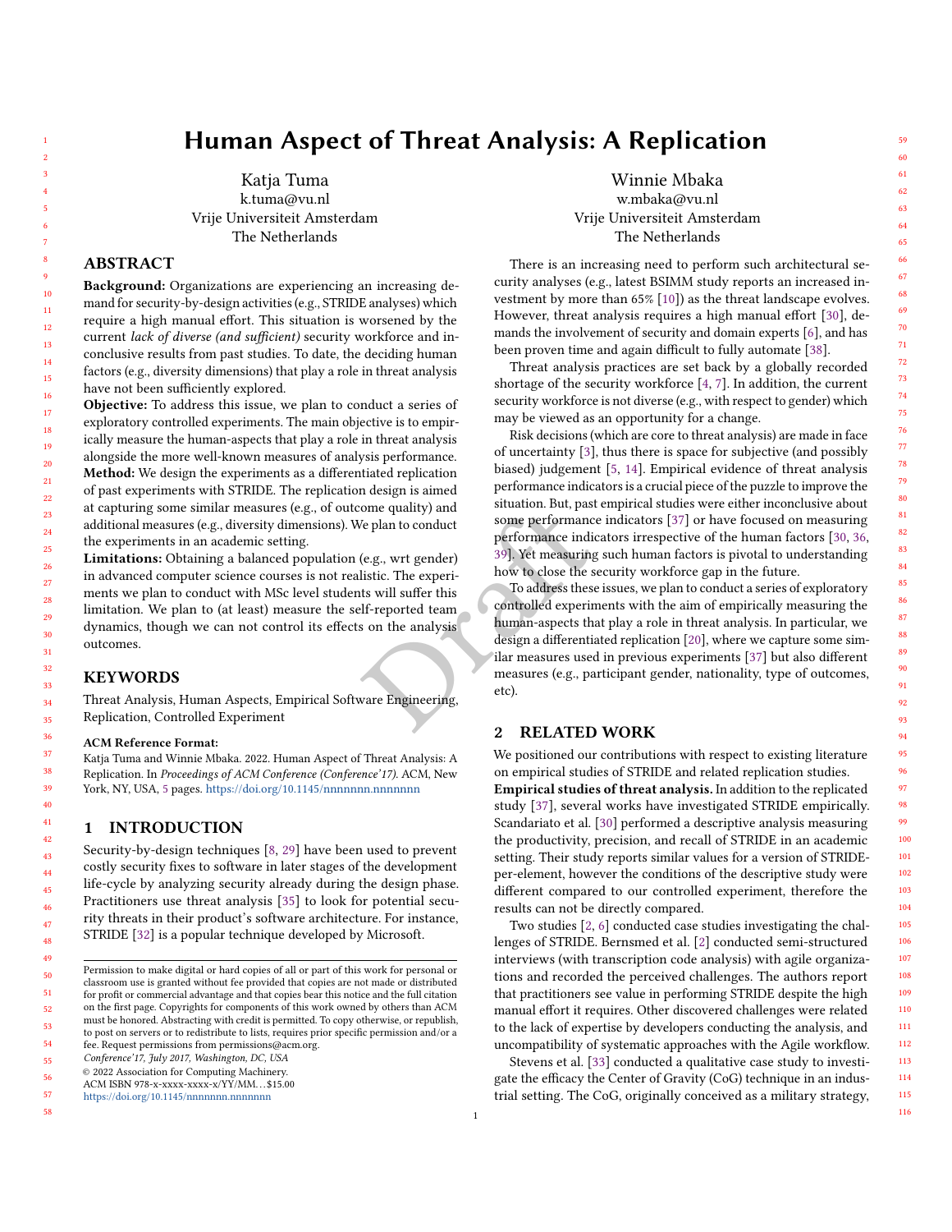# Human Aspect of Threat Analysis: A Replication

Katja Tuma k.tuma@vu.nl Vrije Universiteit Amsterdam The Netherlands

## ABSTRACT

Background: Organizations are experiencing an increasing demand for security-by-design activities (e.g., STRIDE analyses) which require a high manual effort. This situation is worsened by the current lack of diverse (and sufficient) security workforce and inconclusive results from past studies. To date, the deciding human factors (e.g., diversity dimensions) that play a role in threat analysis have not been sufficiently explored.

Objective: To address this issue, we plan to conduct a series of exploratory controlled experiments. The main objective is to empirically measure the human-aspects that play a role in threat analysis alongside the more well-known measures of analysis performance. Method: We design the experiments as a differentiated replication of past experiments with STRIDE. The replication design is aimed at capturing some similar measures (e.g., of outcome quality) and additional measures (e.g., diversity dimensions). We plan to conduct the experiments in an academic setting.

Limitations: Obtaining a balanced population (e.g., wrt gender) in advanced computer science courses is not realistic. The experiments we plan to conduct with MSc level students will suffer this limitation. We plan to (at least) measure the self-reported team dynamics, though we can not control its effects on the analysis outcomes.

## KEYWORDS

Threat Analysis, Human Aspects, Empirical Software Engineering, Replication, Controlled Experiment

#### ACM Reference Format:

Katja Tuma and Winnie Mbaka. 2022. Human Aspect of Threat Analysis: A Replication. In Proceedings of ACM Conference (Conference'17). ACM, New York, NY, USA, [5](#page-4-0) pages. <https://doi.org/10.1145/nnnnnnn.nnnnnnn>

## 1 INTRODUCTION

Security-by-design techniques [\[8,](#page-4-1) [29\]](#page-4-2) have been used to prevent costly security fixes to software in later stages of the development life-cycle by analyzing security already during the design phase. Practitioners use threat analysis [\[35\]](#page-4-3) to look for potential security threats in their product's software architecture. For instance, STRIDE [\[32\]](#page-4-4) is a popular technique developed by Microsoft.

Conference'17, July 2017, Washington, DC, USA

© 2022 Association for Computing Machinery.

<https://doi.org/10.1145/nnnnnnn.nnnnnnn>

57 58

Winnie Mbaka w.mbaka@vu.nl Vrije Universiteit Amsterdam The Netherlands

There is an increasing need to perform such architectural security analyses (e.g., latest BSIMM study reports an increased investment by more than 65% [\[10\]](#page-4-5)) as the threat landscape evolves. However, threat analysis requires a high manual effort [\[30\]](#page-4-6), demands the involvement of security and domain experts [\[6\]](#page-4-7), and has been proven time and again difficult to fully automate [\[38\]](#page-4-8).

Threat analysis practices are set back by a globally recorded shortage of the security workforce [\[4,](#page-4-9) [7\]](#page-4-10). In addition, the current security workforce is not diverse (e.g., with respect to gender) which may be viewed as an opportunity for a change.

Risk decisions (which are core to threat analysis) are made in face of uncertainty [\[3\]](#page-4-11), thus there is space for subjective (and possibly biased) judgement [\[5,](#page-4-12) [14\]](#page-4-13). Empirical evidence of threat analysis performance indicators is a crucial piece of the puzzle to improve the situation. But, past empirical studies were either inconclusive about some performance indicators [\[37\]](#page-4-14) or have focused on measuring performance indicators irrespective of the human factors [\[30,](#page-4-6) [36,](#page-4-15) 39]. Yet measuring such human factors is pivotal to understanding how to close the security workforce gap in the future.

Fraction Conduct the plan to conduct<br>
Some per[f](#page-4-16)ormance indicators in<br>
the plan to conduct<br>
some performance indicators in<br>
the security<br>
(e.g., wrt gender)<br>
<sup>39</sup>]. Yet measuring such hu<br>
listic. The experi-<br>
how to close t To address these issues, we plan to conduct a series of exploratory controlled experiments with the aim of empirically measuring the human-aspects that play a role in threat analysis. In particular, we design a differentiated replication [\[20\]](#page-4-17), where we capture some similar measures used in previous experiments [\[37\]](#page-4-14) but also different measures (e.g., participant gender, nationality, type of outcomes, etc).

## 2 RELATED WORK

We positioned our contributions with respect to existing literature on empirical studies of STRIDE and related replication studies. Empirical studies of threat analysis. In addition to the replicated study [\[37\]](#page-4-14), several works have investigated STRIDE empirically. Scandariato et al. [\[30\]](#page-4-6) performed a descriptive analysis measuring the productivity, precision, and recall of STRIDE in an academic setting. Their study reports similar values for a version of STRIDEper-element, however the conditions of the descriptive study were different compared to our controlled experiment, therefore the results can not be directly compared.

Two studies [\[2,](#page-4-18) [6\]](#page-4-7) conducted case studies investigating the challenges of STRIDE. Bernsmed et al. [\[2\]](#page-4-18) conducted semi-structured interviews (with transcription code analysis) with agile organizations and recorded the perceived challenges. The authors report that practitioners see value in performing STRIDE despite the high manual effort it requires. Other discovered challenges were related to the lack of expertise by developers conducting the analysis, and uncompatibility of systematic approaches with the Agile workflow.

Stevens et al. [\[33\]](#page-4-19) conducted a qualitative case study to investigate the efficacy the Center of Gravity (CoG) technique in an industrial setting. The CoG, originally conceived as a military strategy,

Permission to make digital or hard copies of all or part of this work for personal or classroom use is granted without fee provided that copies are not made or distributed for profit or commercial advantage and that copies bear this notice and the full citation on the first page. Copyrights for components of this work owned by others than ACM must be honored. Abstracting with credit is permitted. To copy otherwise, or republish, to post on servers or to redistribute to lists, requires prior specific permission and/or a fee. Request permissions from permissions@acm.org.

ACM ISBN 978-x-xxxx-xxxx-x/YY/MM. . . \$15.00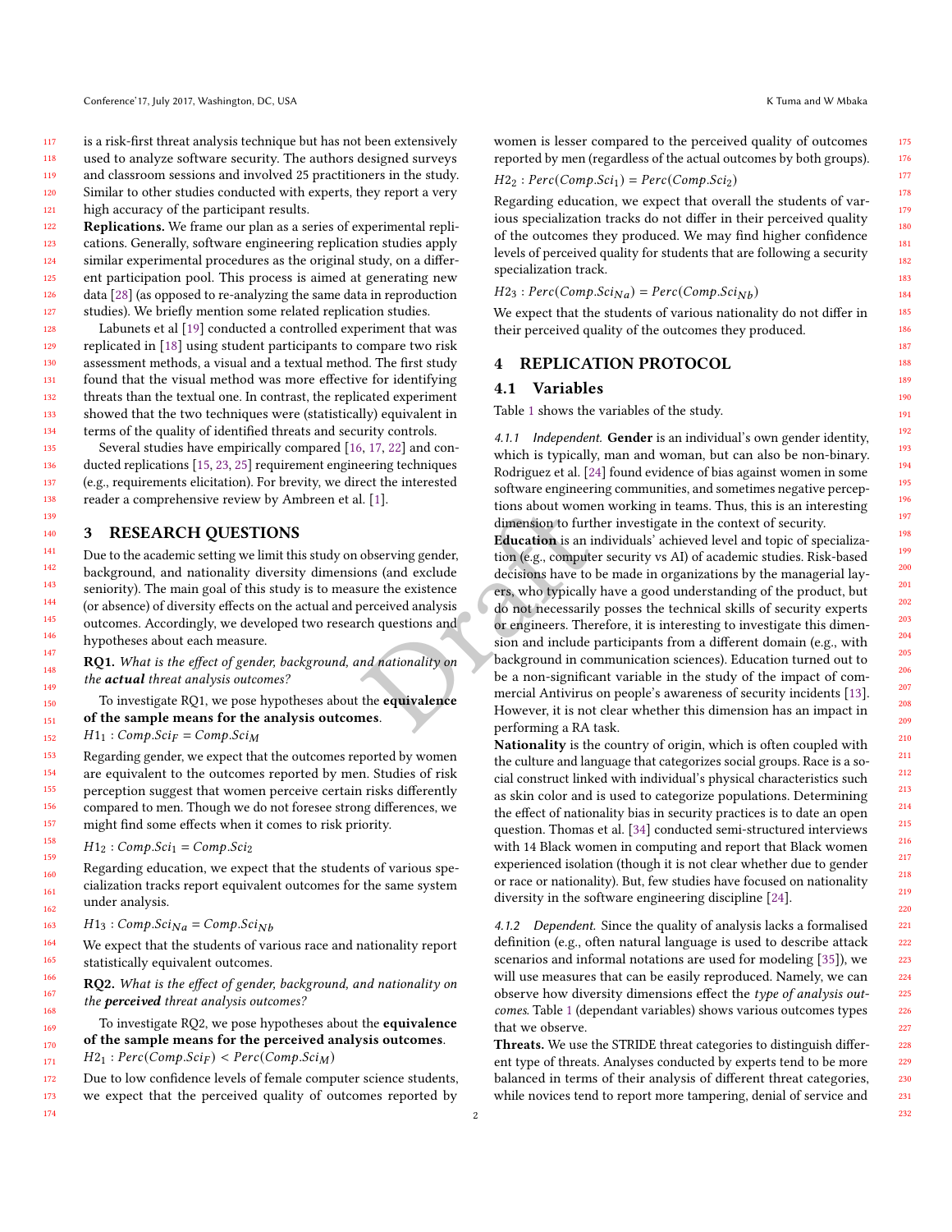is a risk-first threat analysis technique but has not been extensively used to analyze software security. The authors designed surveys

118 119 120 and classroom sessions and involved 25 practitioners in the study. Similar to other studies conducted with experts, they report a very

121 high accuracy of the participant results.

122 123 124 125 126 127 Replications. We frame our plan as a series of experimental replications. Generally, software engineering replication studies apply similar experimental procedures as the original study, on a different participation pool. This process is aimed at generating new data [\[28\]](#page-4-20) (as opposed to re-analyzing the same data in reproduction studies). We briefly mention some related replication studies.

128 129 130 131 132 133 134 Labunets et al [\[19\]](#page-4-21) conducted a controlled experiment that was replicated in [\[18\]](#page-4-22) using student participants to compare two risk assessment methods, a visual and a textual method. The first study found that the visual method was more effective for identifying threats than the textual one. In contrast, the replicated experiment showed that the two techniques were (statistically) equivalent in terms of the quality of identified threats and security controls.

Several studies have empirically compared [\[16,](#page-4-23) [17,](#page-4-24) [22\]](#page-4-25) and conducted replications [\[15,](#page-4-26) [23,](#page-4-27) [25\]](#page-4-28) requirement engineering techniques (e.g., requirements elicitation). For brevity, we direct the interested reader a comprehensive review by Ambreen et al. [\[1\]](#page-4-29).

## 3 RESEARCH QUESTIONS

Due to the academic setting we limit this study on observing gender, background, and nationality diversity dimensions (and exclude seniority). The main goal of this study is to measure the existence (or absence) of diversity effects on the actual and perceived analysis outcomes. Accordingly, we developed two research questions and hypotheses about each measure.

RQ1. What is the effect of gender, background, and nationality on the actual threat analysis outcomes?

To investigate RQ1, we pose hypotheses about the equivalence of the sample means for the analysis outcomes.

 $H1_1: Comp. Sci_F = Comp. Sci_M$ 

Regarding gender, we expect that the outcomes reported by women are equivalent to the outcomes reported by men. Studies of risk perception suggest that women perceive certain risks differently compared to men. Though we do not foresee strong differences, we might find some effects when it comes to risk priority.

 $H1_2$ :  $Comp.Sci_1 = Comp.Sci_2$ 

Regarding education, we expect that the students of various specialization tracks report equivalent outcomes for the same system under analysis.

163  $H1_3: Comp. Sci<sub>Na</sub> = Comp. Sci<sub>Nb</sub>$ 

164 165 We expect that the students of various race and nationality report statistically equivalent outcomes.

RQ2. What is the effect of gender, background, and nationality on the **perceived** threat analysis outcomes?

To investigate RQ2, we pose hypotheses about the equivalence of the sample means for the perceived analysis outcomes.  $H2_1$ :  $Perc(Comp.Sci_F) < Perc(Comp.Sci_M)$ 

172 173 174 Due to low confidence levels of female computer science students, we expect that the perceived quality of outcomes reported by

175 176

women is lesser compared to the perceived quality of outcomes reported by men (regardless of the actual outcomes by both groups).

$$
H2_2: Perc(Comp. Sci_1) = Perc(Comp. Sci_2)
$$

Regarding education, we expect that overall the students of various specialization tracks do not differ in their perceived quality of the outcomes they produced. We may find higher confidence levels of perceived quality for students that are following a security specialization track.

 $H2_3$ :  $Perc(Comp.Sci_{Na}) = Perc(Comp.Sci_{Nb})$ 

We expect that the students of various nationality do not differ in their perceived quality of the outcomes they produced.

#### 4 REPLICATION PROTOCOL

#### 4.1 Variables

2

Table [1](#page-3-0) shows the variables of the study.

4.1.1 Independent. Gender is an individual's own gender identity, which is typically, man and woman, but can also be non-binary. Rodriguez et al. [\[24\]](#page-4-30) found evidence of bias against women in some software engineering communities, and sometimes negative perceptions about women working in teams. Thus, this is an interesting dimension to further investigate in the context of security.

France in the equivalence and the equivalence of the equivalence of the equivalence of the equivalence of the equivalence of the equivalence of the equivalence of the equivalence of the equivalence of the equivalence of th Education is an individuals' achieved level and topic of specialization (e.g., computer security vs AI) of academic studies. Risk-based decisions have to be made in organizations by the managerial layers, who typically have a good understanding of the product, but do not necessarily posses the technical skills of security experts or engineers. Therefore, it is interesting to investigate this dimension and include participants from a different domain (e.g., with background in communication sciences). Education turned out to be a non-significant variable in the study of the impact of commercial Antivirus on people's awareness of security incidents [\[13\]](#page-4-31). However, it is not clear whether this dimension has an impact in performing a RA task.

> Nationality is the country of origin, which is often coupled with the culture and language that categorizes social groups. Race is a social construct linked with individual's physical characteristics such as skin color and is used to categorize populations. Determining the effect of nationality bias in security practices is to date an open question. Thomas et al. [\[34\]](#page-4-32) conducted semi-structured interviews with 14 Black women in computing and report that Black women experienced isolation (though it is not clear whether due to gender or race or nationality). But, few studies have focused on nationality diversity in the software engineering discipline [\[24\]](#page-4-30).

> 4.1.2 Dependent. Since the quality of analysis lacks a formalised definition (e.g., often natural language is used to describe attack scenarios and informal notations are used for modeling [\[35\]](#page-4-3)), we will use measures that can be easily reproduced. Namely, we can observe how diversity dimensions effect the type of analysis outcomes. Table [1](#page-3-0) (dependant variables) shows various outcomes types that we observe.

> Threats. We use the STRIDE threat categories to distinguish different type of threats. Analyses conducted by experts tend to be more balanced in terms of their analysis of different threat categories, while novices tend to report more tampering, denial of service and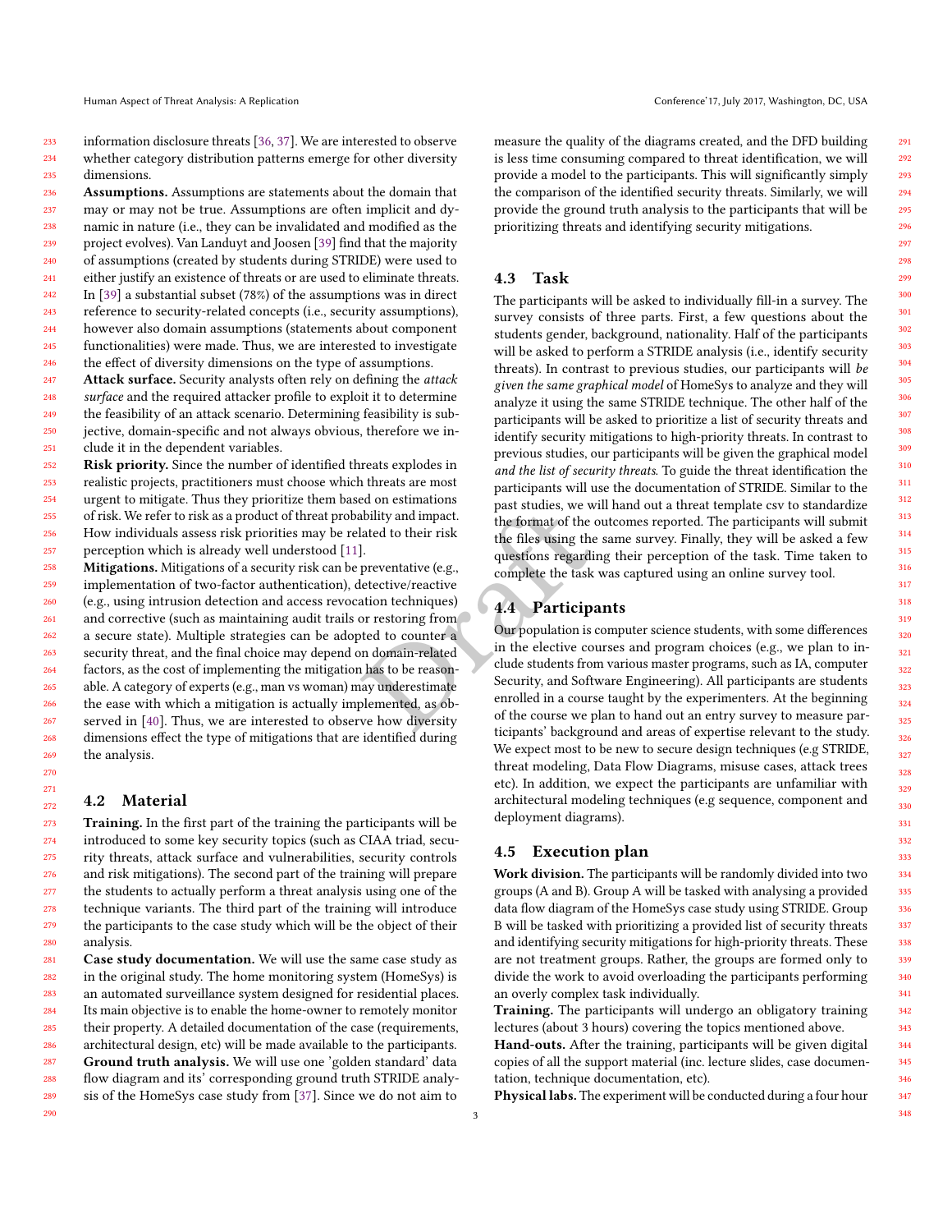233 234 235 information disclosure threats [\[36,](#page-4-15) [37\]](#page-4-14). We are interested to observe whether category distribution patterns emerge for other diversity dimensions.

236 237 238 239 240 241 242 243 244 245 246 247 Assumptions. Assumptions are statements about the domain that may or may not be true. Assumptions are often implicit and dynamic in nature (i.e., they can be invalidated and modified as the project evolves). Van Landuyt and Joosen [\[39\]](#page-4-16) find that the majority of assumptions (created by students during STRIDE) were used to either justify an existence of threats or are used to eliminate threats. In [\[39\]](#page-4-16) a substantial subset (78%) of the assumptions was in direct reference to security-related concepts (i.e., security assumptions), however also domain assumptions (statements about component functionalities) were made. Thus, we are interested to investigate the effect of diversity dimensions on the type of assumptions. Attack surface. Security analysts often rely on defining the attack

248 249 250 251 surface and the required attacker profile to exploit it to determine the feasibility of an attack scenario. Determining feasibility is subjective, domain-specific and not always obvious, therefore we include it in the dependent variables.

252 253 254 255 256 257 Risk priority. Since the number of identified threats explodes in realistic projects, practitioners must choose which threats are most urgent to mitigate. Thus they prioritize them based on estimations of risk. We refer to risk as a product of threat probability and impact. How individuals assess risk priorities may be related to their risk perception which is already well understood [\[11\]](#page-4-33).

Alternative the files using the same state of the outcome<br>
and the format of the outcome<br>
the files using the same state of the outcome<br>
the files using the same state of the outcome<br>
tective/reactive<br>
and the counter and 258 259 260 261 262 263 264 265 266 267 268 269 Mitigations. Mitigations of a security risk can be preventative (e.g., implementation of two-factor authentication), detective/reactive (e.g., using intrusion detection and access revocation techniques) and corrective (such as maintaining audit trails or restoring from a secure state). Multiple strategies can be adopted to counter a security threat, and the final choice may depend on domain-related factors, as the cost of implementing the mitigation has to be reasonable. A category of experts (e.g., man vs woman) may underestimate the ease with which a mitigation is actually implemented, as observed in [\[40\]](#page-4-34). Thus, we are interested to observe how diversity dimensions effect the type of mitigations that are identified during the analysis.

## <span id="page-2-0"></span>4.2 Material

270 271 272

290

273 274 275 276 277 278 279 280 Training. In the first part of the training the participants will be introduced to some key security topics (such as CIAA triad, security threats, attack surface and vulnerabilities, security controls and risk mitigations). The second part of the training will prepare the students to actually perform a threat analysis using one of the technique variants. The third part of the training will introduce the participants to the case study which will be the object of their analysis.

281 282 283 284 285 286 287 288 289 Case study documentation. We will use the same case study as in the original study. The home monitoring system (HomeSys) is an automated surveillance system designed for residential places. Its main objective is to enable the home-owner to remotely monitor their property. A detailed documentation of the case (requirements, architectural design, etc) will be made available to the participants. Ground truth analysis. We will use one 'golden standard' data flow diagram and its' corresponding ground truth STRIDE analysis of the HomeSys case study from [\[37\]](#page-4-14). Since we do not aim to

measure the quality of the diagrams created, and the DFD building is less time consuming compared to threat identification, we will provide a model to the participants. This will significantly simply the comparison of the identified security threats. Similarly, we will provide the ground truth analysis to the participants that will be prioritizing threats and identifying security mitigations.

## 4.3 Task

The participants will be asked to individually fill-in a survey. The survey consists of three parts. First, a few questions about the students gender, background, nationality. Half of the participants will be asked to perform a STRIDE analysis (i.e., identify security threats). In contrast to previous studies, our participants will be given the same graphical model of HomeSys to analyze and they will analyze it using the same STRIDE technique. The other half of the participants will be asked to prioritize a list of security threats and identify security mitigations to high-priority threats. In contrast to previous studies, our participants will be given the graphical model and the list of security threats. To guide the threat identification the participants will use the documentation of STRIDE. Similar to the past studies, we will hand out a threat template csv to standardize the format of the outcomes reported. The participants will submit the files using the same survey. Finally, they will be asked a few questions regarding their perception of the task. Time taken to complete the task was captured using an online survey tool.

## 4.4 Participants

Our population is computer science students, with some differences in the elective courses and program choices (e.g., we plan to include students from various master programs, such as IA, computer Security, and Software Engineering). All participants are students enrolled in a course taught by the experimenters. At the beginning of the course we plan to hand out an entry survey to measure participants' background and areas of expertise relevant to the study. We expect most to be new to secure design techniques (e.g STRIDE, threat modeling, Data Flow Diagrams, misuse cases, attack trees etc). In addition, we expect the participants are unfamiliar with architectural modeling techniques (e.g sequence, component and deployment diagrams).

#### 4.5 Execution plan

Work division. The participants will be randomly divided into two groups (A and B). Group A will be tasked with analysing a provided data flow diagram of the HomeSys case study using STRIDE. Group B will be tasked with prioritizing a provided list of security threats and identifying security mitigations for high-priority threats. These are not treatment groups. Rather, the groups are formed only to divide the work to avoid overloading the participants performing an overly complex task individually.

Training. The participants will undergo an obligatory training lectures (about 3 hours) covering the topics mentioned above. Hand-outs. After the training, participants will be given digital copies of all the support material (inc. lecture slides, case documentation, technique documentation, etc).

Physical labs. The experiment will be conducted during a four hour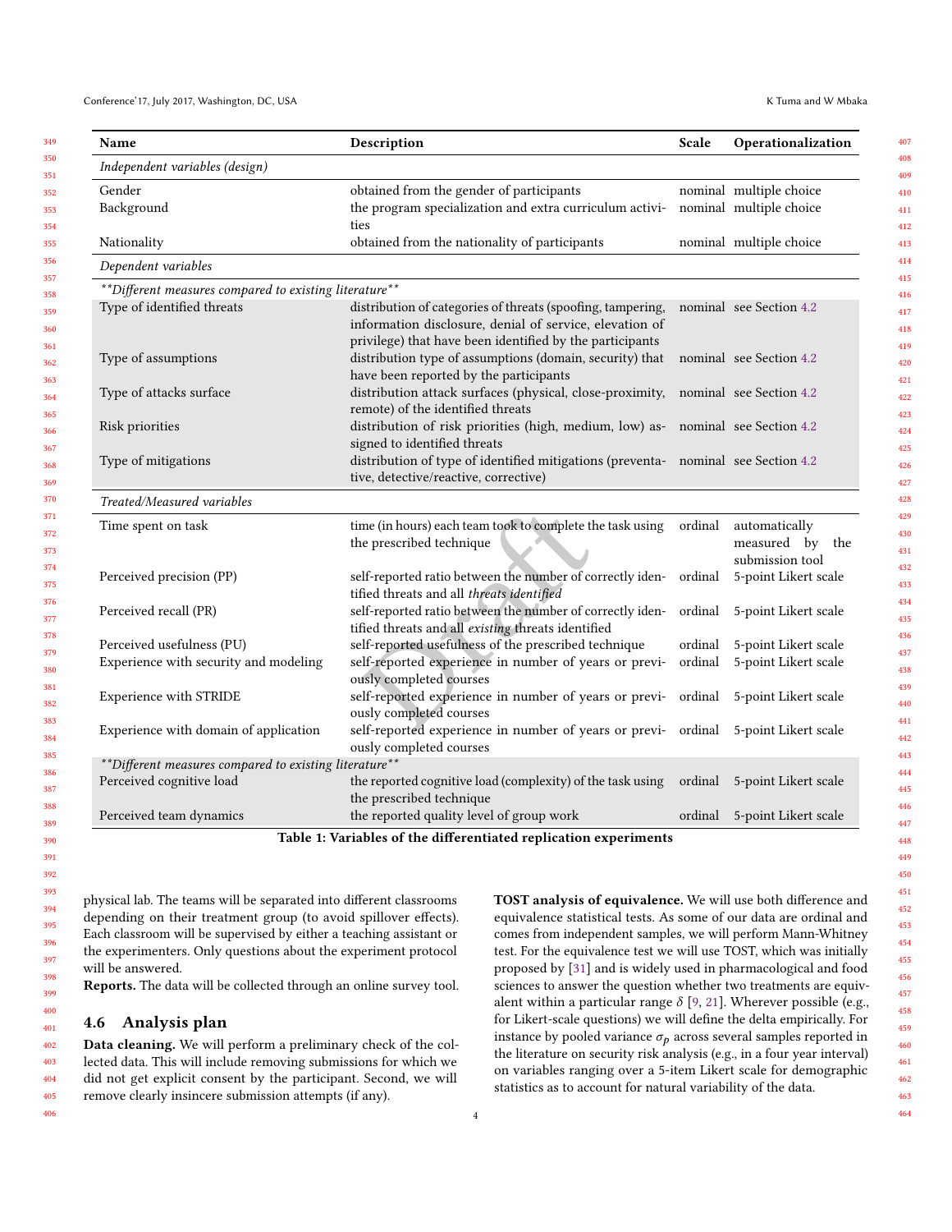<span id="page-3-0"></span>

| Name                                                    | Description                                                                                                                                                                        | Scale   | Operationalization                                  |
|---------------------------------------------------------|------------------------------------------------------------------------------------------------------------------------------------------------------------------------------------|---------|-----------------------------------------------------|
| Independent variables (design)                          |                                                                                                                                                                                    |         |                                                     |
| Gender                                                  | obtained from the gender of participants                                                                                                                                           |         | nominal multiple choice                             |
| Background                                              | the program specialization and extra curriculum activi-<br>ties                                                                                                                    |         | nominal multiple choice                             |
| Nationality                                             | obtained from the nationality of participants                                                                                                                                      |         | nominal multiple choice                             |
| Dependent variables                                     |                                                                                                                                                                                    |         |                                                     |
| **Different measures compared to existing literature**  |                                                                                                                                                                                    |         |                                                     |
| Type of identified threats                              | distribution of categories of threats (spoofing, tampering,<br>information disclosure, denial of service, elevation of<br>privilege) that have been identified by the participants |         | nominal see Section 4.2                             |
| Type of assumptions                                     | distribution type of assumptions (domain, security) that<br>have been reported by the participants                                                                                 |         | nominal see Section 4.2                             |
| Type of attacks surface                                 | distribution attack surfaces (physical, close-proximity, nominal see Section 4.2<br>remote) of the identified threats                                                              |         |                                                     |
| Risk priorities                                         | distribution of risk priorities (high, medium, low) as- nominal see Section 4.2<br>signed to identified threats                                                                    |         |                                                     |
| Type of mitigations                                     | distribution of type of identified mitigations (preventa- nominal see Section 4.2<br>tive, detective/reactive, corrective)                                                         |         |                                                     |
| Treated/Measured variables                              |                                                                                                                                                                                    |         |                                                     |
| Time spent on task                                      | time (in hours) each team took to complete the task using<br>the prescribed technique                                                                                              | ordinal | automatically<br>measured by the<br>submission tool |
| Perceived precision (PP)                                | self-reported ratio between the number of correctly iden- ordinal<br>tified threats and all threats identified                                                                     |         | 5-point Likert scale                                |
| Perceived recall (PR)                                   | self-reported ratio between the number of correctly iden-<br>tified threats and all existing threats identified                                                                    | ordinal | 5-point Likert scale                                |
| Perceived usefulness (PU)                               | self-reported usefulness of the prescribed technique                                                                                                                               | ordinal | 5-point Likert scale                                |
| Experience with security and modeling                   | self-reported experience in number of years or previ-<br>ously completed courses                                                                                                   | ordinal | 5-point Likert scale                                |
| Experience with STRIDE                                  | self-reported experience in number of years or previ- ordinal<br>ously completed courses                                                                                           |         | 5-point Likert scale                                |
| Experience with domain of application                   | self-reported experience in number of years or previ- ordinal 5-point Likert scale<br>ously completed courses                                                                      |         |                                                     |
| ** Different measures compared to existing literature** |                                                                                                                                                                                    |         |                                                     |
| Perceived cognitive load                                | the reported cognitive load (complexity) of the task using<br>the prescribed technique                                                                                             | ordinal | 5-point Likert scale                                |
| Perceived team dynamics                                 | the reported quality level of group work                                                                                                                                           | ordinal | 5-point Likert scale                                |

Table 1: Variables of the differentiated replication experiments

physical lab. The teams will be separated into different classrooms depending on their treatment group (to avoid spillover effects). Each classroom will be supervised by either a teaching assistant or the experimenters. Only questions about the experiment protocol will be answered.

Reports. The data will be collected through an online survey tool.

## 4.6 Analysis plan

Data cleaning. We will perform a preliminary check of the collected data. This will include removing submissions for which we did not get explicit consent by the participant. Second, we will remove clearly insincere submission attempts (if any).

TOST analysis of equivalence. We will use both difference and equivalence statistical tests. As some of our data are ordinal and comes from independent samples, we will perform Mann-Whitney test. For the equivalence test we will use TOST, which was initially proposed by [\[31\]](#page-4-35) and is widely used in pharmacological and food sciences to answer the question whether two treatments are equivalent within a particular range  $\delta$  [\[9,](#page-4-36) [21\]](#page-4-37). Wherever possible (e.g., for Likert-scale questions) we will define the delta empirically. For instance by pooled variance  $\sigma_p$  across several samples reported in the literature on security risk analysis (e.g., in a four year interval) on variables ranging over a 5-item Likert scale for demographic statistics as to account for natural variability of the data.

463 464